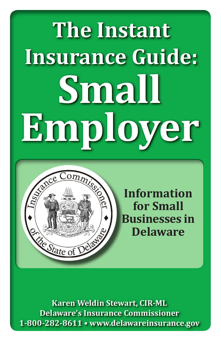# **mal Employer The Instant Insurance Guide: Small Employer**



**Information for Small Businesses in Delaware**

**Karen Weldin Stewart, CIR-ML Delaware's Insurance Commissioner 1-800-282-8611 • www.delawareinsurance.gov**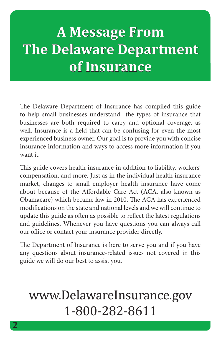## **A Message From The Delaware Department of Insurance**

The Delaware Department of Insurance has compiled this guide to help small businesses understand the types of insurance that businesses are both required to carry and optional coverage, as well. Insurance is a field that can be confusing for even the most experienced business owner. Our goal is to provide you with concise insurance information and ways to access more information if you want it.

This guide covers health insurance in addition to liability, workers' compensation, and more. Just as in the individual health insurance market, changes to small employer health insurance have come about because of the Affordable Care Act (ACA, also known as Obamacare) which became law in 2010. The ACA has experienced modifications on the state and national levels and we will continue to update this guide as often as possible to reflect the latest regulations and guidelines. Whenever you have questions you can always call our office or contact your insurance provider directly.

The Department of Insurance is here to serve you and if you have any questions about insurance-related issues not covered in this guide we will do our best to assist you.

### www.DelawareInsurance.gov 1-800-282-8611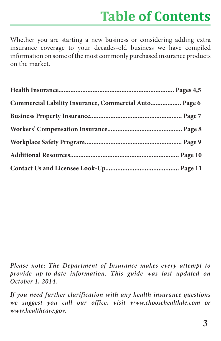### **Table of Contents**

Whether you are starting a new business or considering adding extra insurance coverage to your decades-old business we have compiled information on some of the most commonly purchased insurance products on the market.

| Commercial Lability Insurance, Commercial Auto Page 6 |  |
|-------------------------------------------------------|--|
|                                                       |  |
|                                                       |  |
|                                                       |  |
|                                                       |  |
|                                                       |  |

*Please note: The Department of Insurance makes every attempt to provide up-to-date information. This guide was last updated on October 1, 2014.* 

*If you need further clarification with any health insurance questions we suggest you call our office, visit www.choosehealthde.com or www.healthcare.gov.*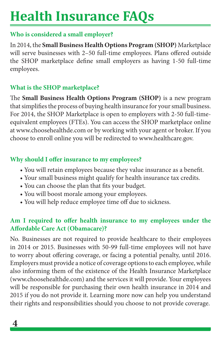### **Health Insurance FAQs**

### **Who is considered a small employer?**

In 2014, the **Small Business Health Options Program (SHOP)** Marketplace will serve businesses with 2–50 full-time employees. Plans offered outside the SHOP marketplace define small employers as having 1-50 full-time employees.

### **What is the SHOP marketplace?**

The **Small Business Health Options Program (SHOP)** is a new program that simplifies the process of buying health insurance for your small business. For 2014, the SHOP Marketplace is open to employers with 2-50 full-timeequivalent employees (FTEs). You can access the SHOP marketplace online at www.choosehealthde.com or by working with your agent or broker. If you choose to enroll online you will be redirected to www.healthcare.gov.

#### **Why should I offer insurance to my employees?**

- You will retain employees because they value insurance as a benefit.
- Your small business might qualify for health insurance tax credits.
- You can choose the plan that fits your budget.
- You will boost morale among your employees.
- You will help reduce employee time off due to sickness.

### **Am I required to offer health insurance to my employees under the Affordable Care Act (Obamacare)?**

No. Businesses are not required to provide healthcare to their employees in 2014 or 2015. Businesses with 50-99 full-time employees will not have to worry about offering coverage, or facing a potential penalty, until 2016. Employers must provide a notice of coverage options to each employee, while also informing them of the existence of the Health Insurance Marketplace (www.choosehealthde.com) and the services it will provide. Your employees will be responsible for purchasing their own health insurance in 2014 and 2015 if you do not provide it. Learning more now can help you understand their rights and responsibilities should you choose to not provide coverage.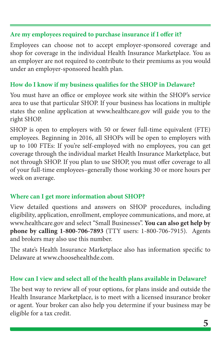#### **Are my employees required to purchase insurance if I offer it?**

Employees can choose not to accept employer-sponsored coverage and shop for coverage in the individual Health Insurance Marketplace. You as an employer are not required to contribute to their premiums as you would under an employer-sponsored health plan.

#### **How do I know if my business qualifies for the SHOP in Delaware?**

You must have an office or employee work site within the SHOP's service area to use that particular SHOP. If your business has locations in multiple states the online application at www.healthcare.gov will guide you to the right SHOP.

SHOP is open to employers with 50 or fewer full-time equivalent (FTE) employees. Beginning in 2016, all SHOPs will be open to employers with up to 100 FTEs: If you're self-employed with no employees, you can get coverage through the individual market Health Insurance Marketplace, but not through SHOP. If you plan to use SHOP, you must offer coverage to all of your full-time employees–generally those working 30 or more hours per week on average.

### **Where can I get more information about SHOP?**

View detailed questions and answers on SHOP procedures, including eligibility, application, enrollment, employee communications, and more, at www.healthcare.gov and select "Small Businesses". **You can also get help by phone by calling 1-800-706-7893** (TTY users: 1-800-706-7915). Agents and brokers may also use this number.

The state's Health Insurance Marketplace also has information specific to Delaware at www.choosehealthde.com.

### **How can I view and select all of the health plans available in Delaware?**

The best way to review all of your options, for plans inside and outside the Health Insurance Marketplace, is to meet with a licensed insurance broker or agent. Your broker can also help you determine if your business may be eligible for a tax credit.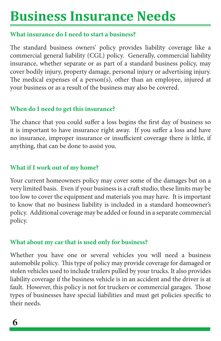### **Business Insurance Needs**

#### **What insurance do I need to start a business?**

The standard business owners' policy provides liability coverage like a commercial general liability (CGL) policy. Generally, commercial liability insurance, whether separate or as part of a standard business policy, may cover bodily injury, property damage, personal injury or advertising injury. The medical expenses of a person(s), other than an employee, injured at your business or as a result of the business may also be covered.

#### **When do I need to get this insurance?**

The chance that you could suffer a loss begins the first day of business so it is important to have insurance right away. If you suffer a loss and have no insurance, improper insurance or insufficient coverage there is little, if anything, that can be done to assist you.

### **What if I work out of my home?**

Your current homeowners policy may cover some of the damages but on a very limited basis. Even if your business is a craft studio, these limits may be too low to cover the equipment and materials you may have. It is important to know that no business liability is included in a standard homeowner's policy. Additional coverage may be added or found in a separate commercial policy.

### **What about my car that is used only for business?**

Whether you have one or several vehicles you will need a business automobile policy. This type of policy may provide coverage for damaged or stolen vehicles used to include trailers pulled by your trucks. It also provides liability coverage if the business vehicle is in an accident and the driver is at fault. However, this policy is not for truckers or commercial garages. Those types of businesses have special liabilities and must get policies specific to their needs.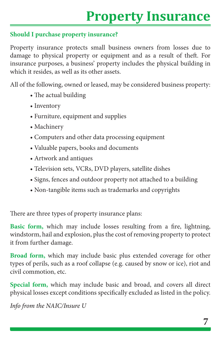### **Property Insurance**

### **Should I purchase property insurance?**

Property insurance protects small business owners from losses due to damage to physical property or equipment and as a result of theft. For insurance purposes, a business' property includes the physical building in which it resides, as well as its other assets.

All of the following, owned or leased, may be considered business property:

- The actual building
- Inventory
- Furniture, equipment and supplies
- Machinery
- Computers and other data processing equipment
- Valuable papers, books and documents
- Artwork and antiques
- Television sets, VCRs, DVD players, satellite dishes
- Signs, fences and outdoor property not attached to a building
- Non-tangible items such as trademarks and copyrights

There are three types of property insurance plans:

**Basic form,** which may include losses resulting from a fire, lightning, windstorm, hail and explosion, plus the cost of removing property to protect it from further damage.

**Broad form,** which may include basic plus extended coverage for other types of perils, such as a roof collapse (e.g. caused by snow or ice), riot and civil commotion, etc.

**Special form,** which may include basic and broad, and covers all direct physical losses except conditions specifically excluded as listed in the policy.

*Info from the NAIC/Insure U*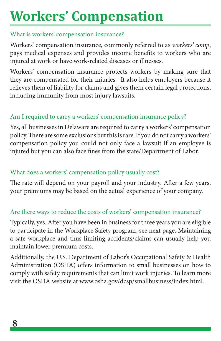## **Workers' Compensation**

#### What is workers' compensation insurance?

Workers' compensation insurance, commonly referred to as *workers' comp*, pays medical expenses and provides income benefits to workers who are injured at work or have work-related diseases or illnesses.

Workers' compensation insurance protects workers by making sure that they are compensated for their injuries. It also helps employers because it relieves them of liability for claims and gives them certain legal protections, including immunity from most injury lawsuits.

### Am I required to carry a workers' compensation insurance policy?

Yes, all businesses in Delaware are required to carry a workers' compensation policy. There are some exclusions but this is rare. If you do not carry a workers' compensation policy you could not only face a lawsuit if an employee is injured but you can also face fines from the state/Department of Labor.

### What does a workers' compensation policy usually cost?

The rate will depend on your payroll and your industry. After a few years, your premiums may be based on the actual experience of your company.

### Are there ways to reduce the costs of workers' compensation insurance?

Typically, yes. After you have been in business for three years you are eligible to participate in the Workplace Safety program, see next page. Maintaining a safe workplace and thus limiting accidents/claims can usually help you maintain lower premium costs.

Additionally, the U.S. Department of Labor's Occupational Safety & Health Administration (OSHA) offers information to small businesses on how to comply with safety requirements that can limit work injuries. To learn more visit the OSHA website at www.osha.gov/dcsp/smallbusiness/index.html.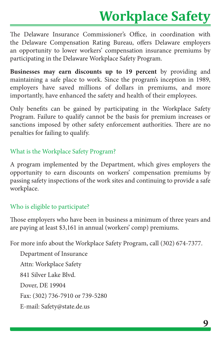### **Workplace Safety**

The Delaware Insurance Commissioner's Office, in coordination with the Delaware Compensation Rating Bureau, offers Delaware employers an opportunity to lower workers' compensation insurance premiums by participating in the Delaware Workplace Safety Program.

**Businesses may earn discounts up to 19 percent** by providing and maintaining a safe place to work. Since the program's inception in 1989, employers have saved millions of dollars in premiums, and more importantly, have enhanced the safety and health of their employees.

Only benefits can be gained by participating in the Workplace Safety Program. Failure to qualify cannot be the basis for premium increases or sanctions imposed by other safety enforcement authorities. There are no penalties for failing to qualify.

What is the Workplace Safety Program?

A program implemented by the Department, which gives employers the opportunity to earn discounts on workers' compensation premiums by passing safety inspections of the work sites and continuing to provide a safe workplace.

### Who is eligible to participate?

Those employers who have been in business a minimum of three years and are paying at least \$3,161 in annual (workers' comp) premiums.

For more info about the Workplace Safety Program, call (302) 674-7377.

Department of Insurance Attn: Workplace Safety 841 Silver Lake Blvd. Dover, DE 19904 Fax: (302) 736-7910 or 739-5280 E-mail: Safety@state.de.us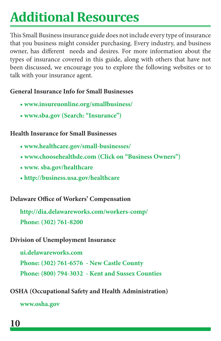### **Additional Resources**

This Small Business insurance guide does not include every type of insurance that you business might consider purchasing. Every industry, and business owner, has different needs and desires. For more information about the types of insurance covered in this guide, along with others that have not been discussed, we encourage you to explore the following websites or to talk with your insurance agent.

#### **General Insurance Info for Small Businesses**

- **www.insureuonline.org/smallbusiness/**
- **www.sba.gov (Search: "Insurance")**

#### **Health Insurance for Small Businesses**

- **www.healthcare.gov/small-businesses/**
- **www.choosehealthde.com (Click on "Business Owners")**
- **www. sba.gov/healthcare**
- **http://business.usa.gov/healthcare**

### **Delaware Office of Workers' Compensation**

**http://dia.delawareworks.com/workers-comp/ Phone: (302) 761-8200**

**Division of Unemployment Insurance**

**ui.delawareworks.com Phone: (302) 761-6576 - New Castle County Phone: (800) 794-3032 - Kent and Sussex Counties**

**OSHA (Occupational Safety and Health Administration)**

**www.osha.gov**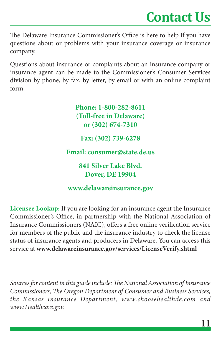### **Contact Us**

The Delaware Insurance Commissioner's Office is here to help if you have questions about or problems with your insurance coverage or insurance company.

Questions about insurance or complaints about an insurance company or insurance agent can be made to the Commissioner's Consumer Services division by phone, by fax, by letter, by email or with an online complaint form.

> **Phone: 1-800-282-8611 (Toll-free in Delaware) or (302) 674-7310 Fax: (302) 739-6278 Email: consumer@state.de.us 841 Silver Lake Blvd. Dover, DE 19904**

**www.delawareinsurance.gov**

**Licensee Lookup:** If you are looking for an insurance agent the Insurance Commissioner's Office, in partnership with the National Association of Insurance Commissioners (NAIC), offers a free online verification service for members of the public and the insurance industry to check the license status of insurance agents and producers in Delaware. You can access this service at **www.delawareinsurance.gov/services/LicenseVerify.shtml**

*Sources for content in this guide include: The National Association of Insurance Commissioners, The Oregon Department of Consumer and Business Services, the Kansas Insurance Department, www.choosehealthde.com and www.Healthcare.gov.*